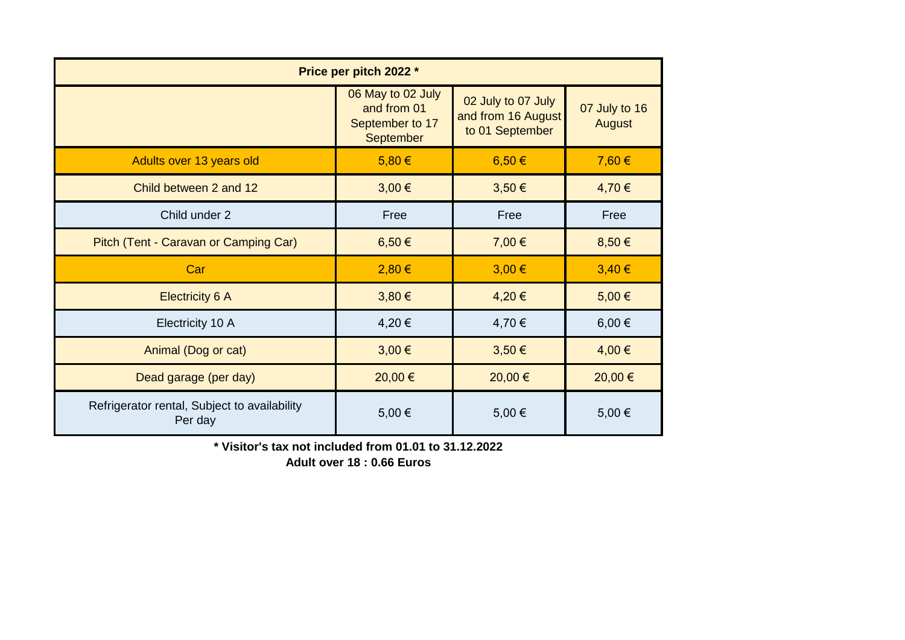| Price per pitch 2022 *                                  |                                                                  |                                                             |                         |  |  |  |  |
|---------------------------------------------------------|------------------------------------------------------------------|-------------------------------------------------------------|-------------------------|--|--|--|--|
|                                                         | 06 May to 02 July<br>and from 01<br>September to 17<br>September | 02 July to 07 July<br>and from 16 August<br>to 01 September | 07 July to 16<br>August |  |  |  |  |
| Adults over 13 years old                                | 5,80€                                                            | $6,50 \in$                                                  | 7,60 €                  |  |  |  |  |
| Child between 2 and 12                                  | 3,00 €                                                           | 3,50 €                                                      | 4,70€                   |  |  |  |  |
| Child under 2                                           | Free                                                             | Free                                                        | Free                    |  |  |  |  |
| Pitch (Tent - Caravan or Camping Car)                   | 6,50€                                                            | 7,00 €                                                      | 8,50€                   |  |  |  |  |
| Car                                                     | 2,80 €                                                           | $3,00 \in$                                                  | $3,40 \in$              |  |  |  |  |
| <b>Electricity 6 A</b>                                  | $3,80 \in$                                                       | 4,20€                                                       | 5,00€                   |  |  |  |  |
| Electricity 10 A                                        | 4,20€                                                            | 4,70 €                                                      | $6,00 \in$              |  |  |  |  |
| Animal (Dog or cat)                                     | $3,00 \in$                                                       | 3,50 €                                                      | 4,00 €                  |  |  |  |  |
| Dead garage (per day)                                   | 20,00 €                                                          | 20,00 €                                                     | 20,00 €                 |  |  |  |  |
| Refrigerator rental, Subject to availability<br>Per day | 5,00€                                                            | 5,00 €                                                      | 5,00 €                  |  |  |  |  |

**\* Visitor's tax not included from 01.01 to 31.12.2022**

**Adult over 18 : 0.66 Euros**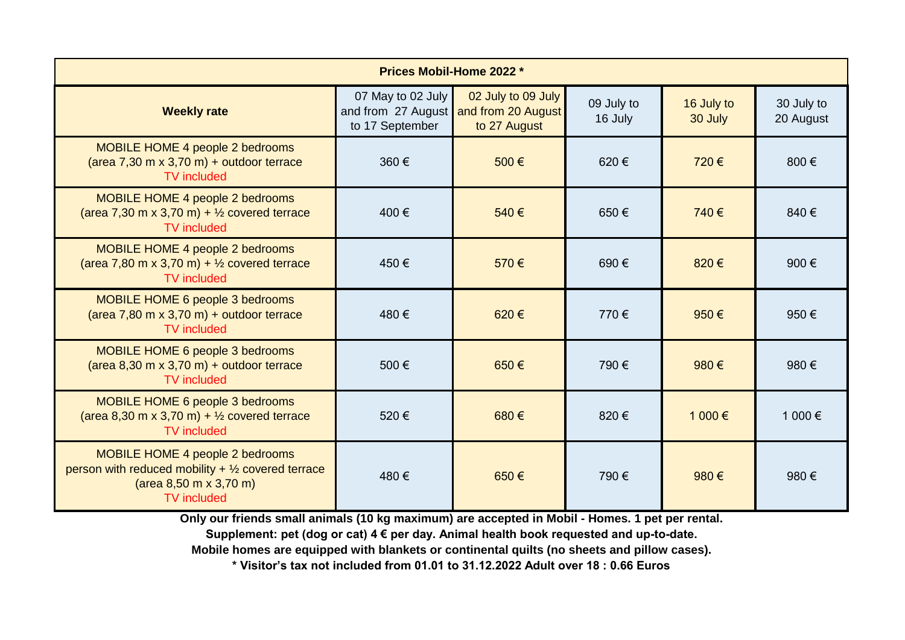| <b>Prices Mobil-Home 2022 *</b>                                                                                                                                        |                                      |                                                                             |                       |                       |                         |  |  |
|------------------------------------------------------------------------------------------------------------------------------------------------------------------------|--------------------------------------|-----------------------------------------------------------------------------|-----------------------|-----------------------|-------------------------|--|--|
| <b>Weekly rate</b>                                                                                                                                                     | 07 May to 02 July<br>to 17 September | 02 July to 09 July<br>and from 27 August and from 20 August<br>to 27 August | 09 July to<br>16 July | 16 July to<br>30 July | 30 July to<br>20 August |  |  |
| <b>MOBILE HOME 4 people 2 bedrooms</b><br>(area $7,30$ m x 3,70 m) + outdoor terrace<br><b>TV</b> included                                                             | 360€                                 | 500€                                                                        | 620€                  | 720€                  | 800€                    |  |  |
| MOBILE HOME 4 people 2 bedrooms<br>(area 7,30 m x 3,70 m) + $\frac{1}{2}$ covered terrace<br><b>TV</b> included                                                        | 400€                                 | 540€                                                                        | 650€                  | 740€                  | 840€                    |  |  |
| MOBILE HOME 4 people 2 bedrooms<br>(area 7,80 m x 3,70 m) + $\frac{1}{2}$ covered terrace<br><b>TV</b> included                                                        | 450€                                 | 570€                                                                        | 690€                  | 820€                  | 900€                    |  |  |
| MOBILE HOME 6 people 3 bedrooms<br>(area 7,80 m x 3,70 m) + outdoor terrace<br><b>TV</b> included                                                                      | 480€                                 | 620€                                                                        | 770€                  | 950€                  | 950€                    |  |  |
| <b>MOBILE HOME 6 people 3 bedrooms</b><br>(area $8,30$ m x 3,70 m) + outdoor terrace<br><b>TV</b> included                                                             | 500€                                 | 650€                                                                        | 790€                  | 980€                  | 980€                    |  |  |
| MOBILE HOME 6 people 3 bedrooms<br>(area 8,30 m x 3,70 m) + $\frac{1}{2}$ covered terrace<br><b>TV</b> included                                                        | 520€                                 | 680€                                                                        | 820€                  | 1 000 €               | 1 000 €                 |  |  |
| MOBILE HOME 4 people 2 bedrooms<br>person with reduced mobility $+$ 1/2 covered terrace<br>$(\text{area } 8,50 \text{ m} \times 3,70 \text{ m})$<br><b>TV</b> included | 480€                                 | 650€                                                                        | 790€                  | 980€                  | 980€                    |  |  |

**Only our friends small animals (10 kg maximum) are accepted in Mobil - Homes. 1 pet per rental.**

**Supplement: pet (dog or cat) 4 € per day. Animal health book requested and up-to-date.**

**Mobile homes are equipped with blankets or continental quilts (no sheets and pillow cases).**

**\* Visitor's tax not included from 01.01 to 31.12.2022 Adult over 18 : 0.66 Euros**